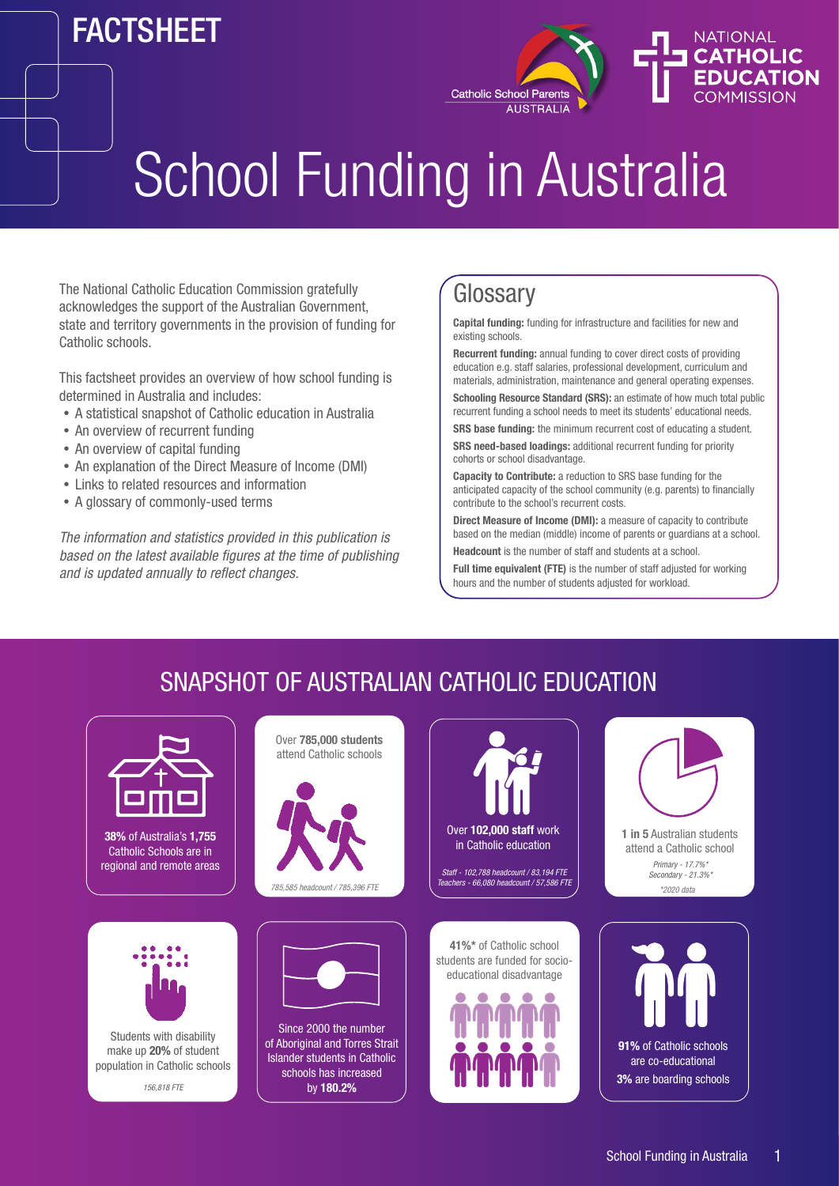## FACTSHEET



# School Funding in Australia

The National Catholic Education Commission gratefully acknowledges the support of the Australian Government, state and territory governments in the provision of funding for Catholic schools.

This factsheet provides an overview of how school funding is determined in Australia and includes:

- A statistical snapshot of Catholic education in Australia
- An overview of recurrent funding
- An overview of capital funding
- An explanation of the Direct Measure of Income (DMI)
- Links to related resources and information
- A glossary of commonly-used terms

*The information and statistics provided in this publication is based on the latest available figures at the time of publishing and is updated annually to reflect changes.*

### **Glossary**

**Capital funding:** funding for infrastructure and facilities for new and existing schools.

**Recurrent funding:** annual funding to cover direct costs of providing education e.g. staff salaries, professional development, curriculum and materials, administration, maintenance and general operating expenses. **Schooling Resource Standard (SRS):** an estimate of how much total public

recurrent funding a school needs to meet its students' educational needs.

**SRS base funding:** the minimum recurrent cost of educating a student.

**SRS need-based loadings:** additional recurrent funding for priority cohorts or school disadvantage.

**Capacity to Contribute:** a reduction to SRS base funding for the anticipated capacity of the school community (e.g. parents) to financially contribute to the school's recurrent costs.

**Direct Measure of Income (DMI):** a measure of capacity to contribute based on the median (middle) income of parents or guardians at a school. **Headcount** is the number of staff and students at a school.

**Full time equivalent (FTE)** is the number of staff adjusted for working hours and the number of students adjusted for workload.

## SNAPSHOT OF AUSTRALIAN CATHOLIC EDUCATION



Over **785,000 students**  attend Catholic schools



*785,585 headcount / 785,396 FTE*



Since 2000 the number of Aboriginal and Torres Strait Islander students in Catholic schools has increased by **180.2%**





**1 in 5** Australian students attend a Catholic school *Primary - 17.7%\* Secondary - 21.3%\* \*2020 data*

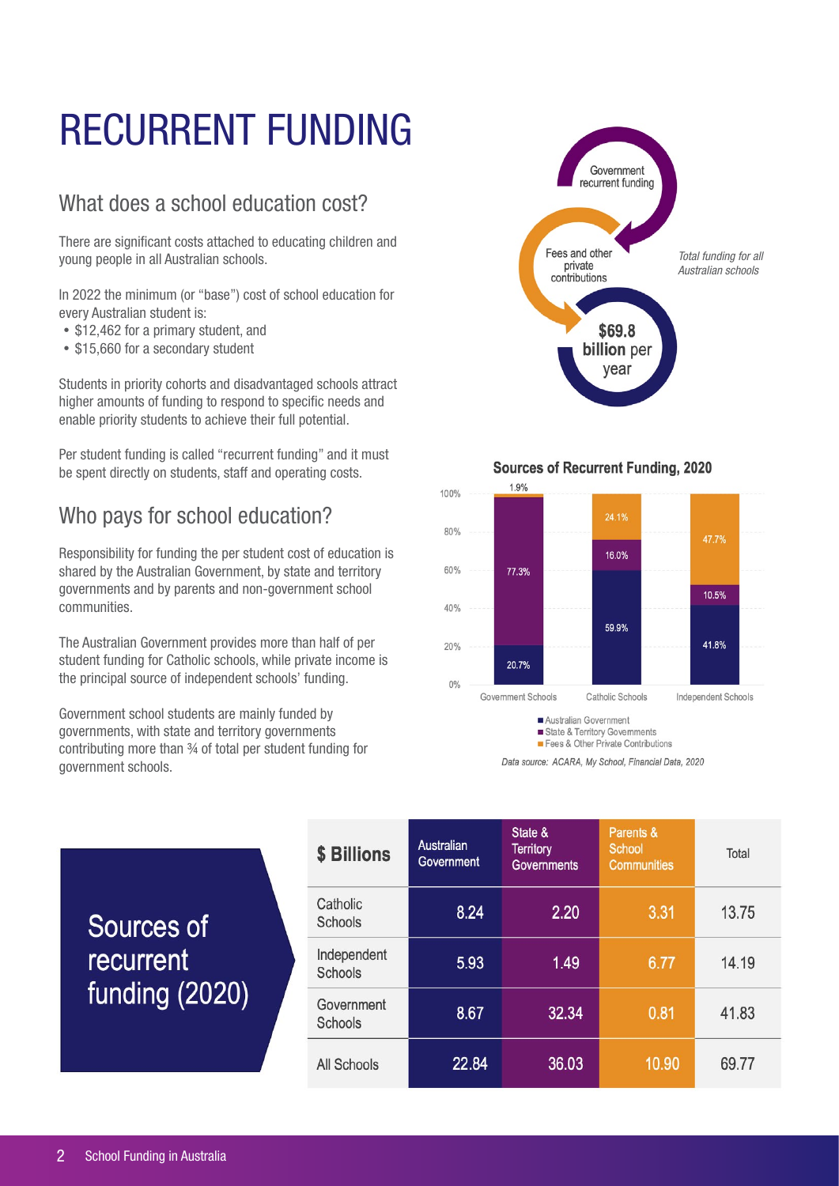## RECURRENT FUNDING

#### What does a school education cost?

There are significant costs attached to educating children and young people in all Australian schools.

In 2022 the minimum (or "base") cost of school education for every Australian student is:

- \$12,462 for a primary student, and
- \$15,660 for a secondary student

Students in priority cohorts and disadvantaged schools attract higher amounts of funding to respond to specific needs and enable priority students to achieve their full potential.

Per student funding is called "recurrent funding" and it must be spent directly on students, staff and operating costs.

### Who pays for school education?

Responsibility for funding the per student cost of education is shared by the Australian Government, by state and territory governments and by parents and non-government school communities.

The Australian Government provides more than half of per student funding for Catholic schools, while private income is the principal source of independent schools' funding.

Government school students are mainly funded by governments, with state and territory governments contributing more than ¾ of total per student funding for government schools.



**Sources of Recurrent Funding, 2020** 



Data source: ACARA, My School, Financial Data, 2020

| Sources of<br><b>recurrent</b><br>funding (2020) | \$ Billions            | Australian<br>Government | State &<br><b>Territory</b><br><b>Governments</b> | Parents &<br>School<br><b>Communities</b> | Total |
|--------------------------------------------------|------------------------|--------------------------|---------------------------------------------------|-------------------------------------------|-------|
|                                                  | Catholic<br>Schools    | 8.24                     | 2.20                                              | 3.31                                      | 13.75 |
|                                                  | Independent<br>Schools | 5.93                     | 1.49                                              | 6.77                                      | 14.19 |
|                                                  | Government<br>Schools  | 8.67                     | 32.34                                             | 0.81                                      | 41.83 |
|                                                  | All Schools            | 22.84                    | 36.03                                             | 10.90                                     | 69.77 |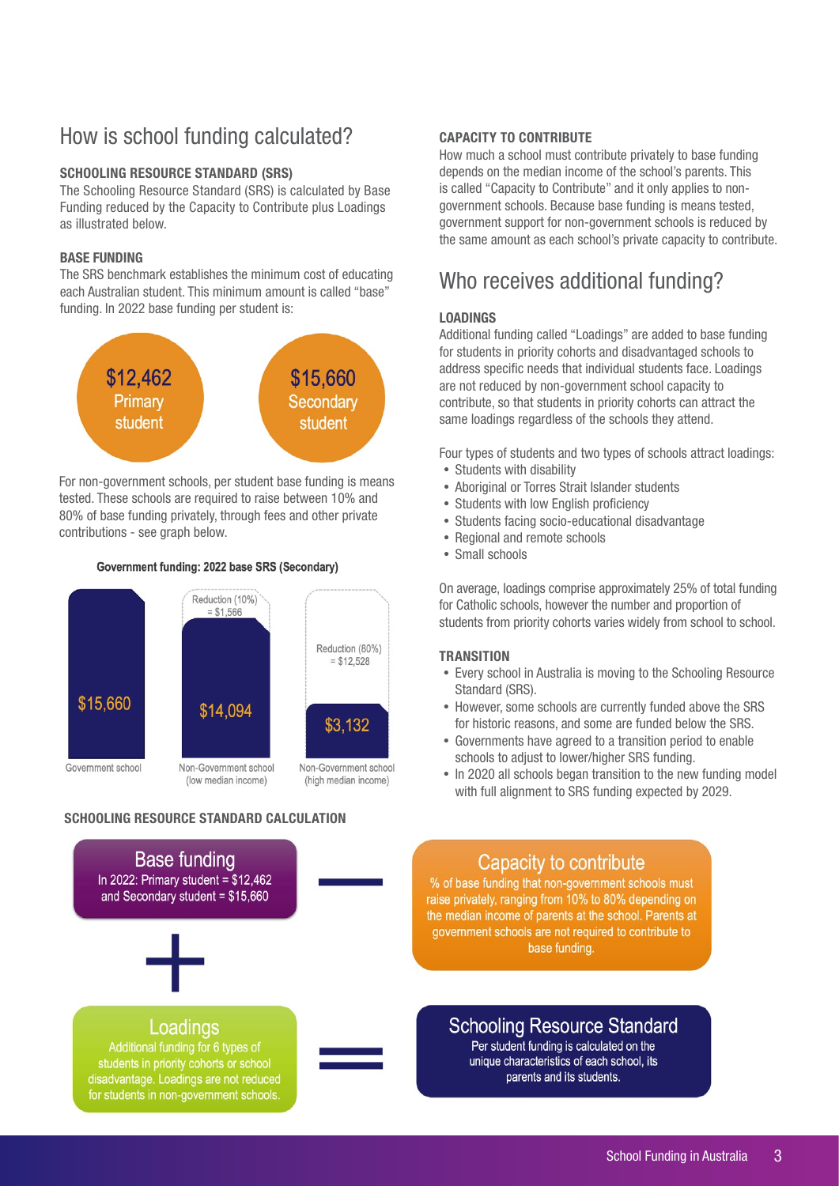### How is school funding calculated?

#### **SCHOOLING RESOURCE STANDARD (SRS)**

The Schooling Resource Standard (SRS) is calculated by Base Funding reduced by the Capacity to Contribute plus Loadings as illustrated below.

#### **BASE FUNDING**

The SRS benchmark establishes the minimum cost of educating each Australian student. This minimum amount is called "base" funding. In 2022 base funding per student is:



For non-government schools, per student base funding is means tested. These schools are required to raise between 10% and 80% of base funding privately, through fees and other private contributions - see graph below.

#### Government funding: 2022 base SRS (Secondary)



#### **SCHOOLING RESOURCE STANDARD CALCULATION**



#### **CAPACITY TO CONTRIBUTE**

How much a school must contribute privately to base funding depends on the median income of the school's parents. This is called "Capacity to Contribute" and it only applies to nongovernment schools. Because base funding is means tested, government support for non-government schools is reduced by the same amount as each school's private capacity to contribute.

#### Who receives additional funding?

#### **LOADINGS**

Additional funding called "Loadings" are added to base funding for students in priority cohorts and disadvantaged schools to address specific needs that individual students face. Loadings are not reduced by non-government school capacity to contribute, so that students in priority cohorts can attract the same loadings regardless of the schools they attend.

Four types of students and two types of schools attract loadings:

- Students with disability
- Aboriginal or Torres Strait Islander students
- Students with low English proficiency
- Students facing socio-educational disadvantage
- Regional and remote schools
- Small schools

On average, loadings comprise approximately 25% of total funding for Catholic schools, however the number and proportion of students from priority cohorts varies widely from school to school.

#### **TRANSITION**

- Every school in Australia is moving to the Schooling Resource Standard (SRS).
- However, some schools are currently funded above the SRS for historic reasons, and some are funded below the SRS.
- Governments have agreed to a transition period to enable schools to adjust to lower/higher SRS funding.
- In 2020 all schools began transition to the new funding model with full alignment to SRS funding expected by 2029.



#### **Schooling Resource Standard**

Per student funding is calculated on the unique characteristics of each school, its parents and its students.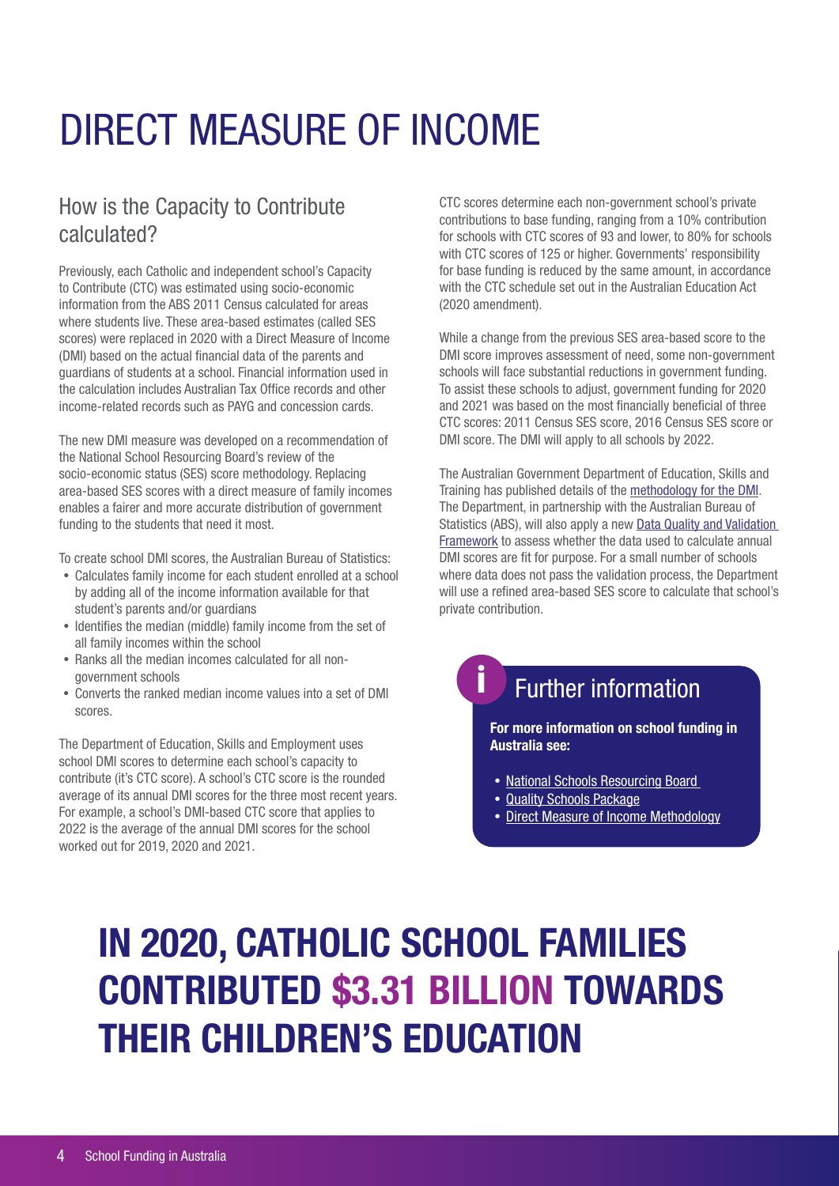## DIRECT MEASURE OF INCOME

### How is the Capacity to Contribute calculated?

Previously, each Catholic and independent school's Capacity to Contribute (CTC) was estimated using socio-economic information from the ABS 2011 Census calculated for areas where students live. These area-based estimates (called SES scores) were replaced in 2020 with a Direct Measure of Income (DMI) based on the actual financial data of the parents and guardians of students at a school. Financial information used in the calculation includes Australian Tax Office records and other income-related records such as PAYG and concession cards.

The new DMI measure was developed on a recommendation of the National School Resourcing Board's review of the socio-economic status (SES) score methodology. Replacing area-based SES scores with a direct measure of family incomes enables a fairer and more accurate distribution of government funding to the students that need it most.

To create school DMI scores, the Australian Bureau of Statistics:

- Calculates family income for each student enrolled at a school by adding all of the income information available for that student's parents and/or guardians
- Identifies the median (middle) family income from the set of all family incomes within the school
- Ranks all the median incomes calculated for all nongovernment schools
- Converts the ranked median income values into a set of DMI scores.

The Department of Education, Skills and Employment uses school DMI scores to determine each school's capacity to contribute (it's CTC score). A school's CTC score is the rounded average of its annual DMI scores for the three most recent years. For example, a school's DMI-based CTC score that applies to 2022 is the average of the annual DMI scores for the school worked out for 2019, 2020 and 2021.

CTC scores determine each non-government school's private contributions to base funding, ranging from a 10% contribution for schools with CTC scores of 93 and lower, to 80% for schools with CTC scores of 125 or higher. Governments' responsibility for base funding is reduced by the same amount, in accordance with the CTC schedule set out in the Australian Education Act (2020 amendment).

While a change from the previous SES area-based score to the DMI score improves assessment of need, some non-government schools will face substantial reductions in government funding. To assist these schools to adjust, government funding for 2020 and 2021 was based on the most financially beneficial of three CTC scores: 2011 Census SES score, 2016 Census SES score or DMI score. The DMI will apply to all schools by 2022.

The Australian Government Department of Education, Skills and Training has published details of the [methodology for the DMI](https://www.dese.gov.au/quality-schools-package/fact-sheets/what-methodology-direct-measure-income-dmi). The Department, in partnership with the Australian Bureau of Statistics (ABS), will also apply a new [Data Quality and Validation](https://www.dese.gov.au/quality-schools-package/resources/abs-capacity-contribute-data-quality-framework)  [Framework](https://www.dese.gov.au/quality-schools-package/resources/abs-capacity-contribute-data-quality-framework) to assess whether the data used to calculate annual DMI scores are fit for purpose. For a small number of schools where data does not pass the validation process, the Department will use a refined area-based SES score to calculate that school's private contribution.

### Further information

**For more information on school funding in Australia see:**

- National Schools Resourcing Board
- [Quality Schools Package](https://www.dese.gov.au/quality-schools-package)

i

• [Direct Measure of Income Methodology](https://www.dese.gov.au/quality-schools-package/fact-sheets/what-methodology-direct-measure-income-dmi)

## **IN 2020, CATHOLIC SCHOOL FAMILIES CONTRIBUTED \$3.31 BILLION TOWARDS THEIR CHILDREN'S EDUCATION**